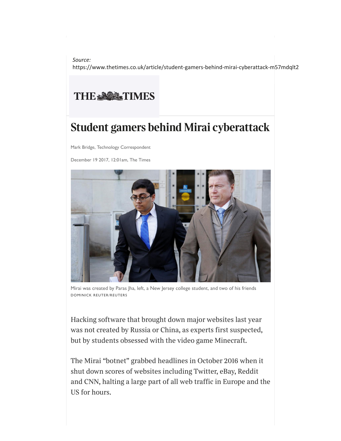*Source:* https://www.thetimes.co.uk/article/student-gamers-behind-mirai-cyberattack-m57mdqlt2

## THE SACTIMES

## **Student gamers behind Mirai cyberattack**

Mark Bridge, Technology Correspondent

December 19 2017, 12:01am, The Times



Mirai was created by Paras Jha, left, a New Jersey college student, and two of his friends DOMINICK REUTER/REUTERS

*Hacking software that brought down major websites last year was not created by Russia or China, as experts first suspected, but by students obsessed with the video game Minecraft.*

*The Mirai "botnet" grabbed headlines in October 2016 when it shut down scores of websites including Twitter, eBay, Reddit* and CNN, halting a large part of all web traffic in Europe and the *US for hours.*